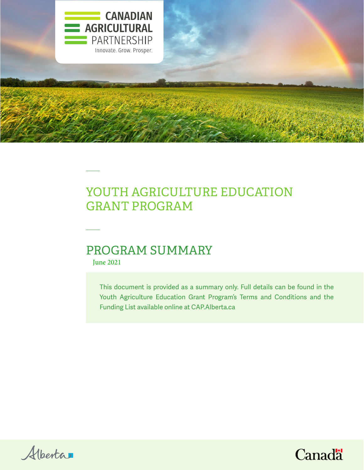

# YOUTH AGRICULTURE EDUCATION GRANT PROGRAM

## PROGRAM SUMMARY

June 2021

This document is provided as a summary only. Full details can be found in the Youth Agriculture Education Grant Program's Terms and Conditions and the Funding List available online at CAP.Alberta.ca



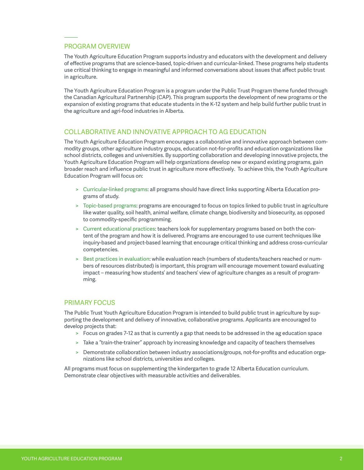## PROGRAM OVERVIEW

The Youth Agriculture Education Program supports industry and educators with the development and delivery of effective programs that are science-based, topic-driven and curricular-linked. These programs help students use critical thinking to engage in meaningful and informed conversations about issues that affect public trust in agriculture.

The Youth Agriculture Education Program is a program under the Public Trust Program theme funded through the Canadian Agricultural Partnership (CAP). This program supports the development of new programs or the expansion of existing programs that educate students in the K-12 system and help build further public trust in the agriculture and agri-food industries in Alberta.

#### COLLABORATIVE AND INNOVATIVE APPROACH TO AG EDUCATION

The Youth Agriculture Education Program encourages a collaborative and innovative approach between commodity groups, other agriculture industry groups, education not-for-profits and education organizations like school districts, colleges and universities. By supporting collaboration and developing innovative projects, the Youth Agriculture Education Program will help organizations develop new or expand existing programs, gain broader reach and influence public trust in agriculture more effectively. To achieve this, the Youth Agriculture Education Program will focus on:

- > Curricular-linked programs: all programs should have direct links supporting Alberta Education programs of study.
- > Topic-based programs: programs are encouraged to focus on topics linked to public trust in agriculture like water quality, soil health, animal welfare, climate change, biodiversity and biosecurity, as opposed to commodity-specific programming.
- > Current educational practices: teachers look for supplementary programs based on both the content of the program and how it is delivered. Programs are encouraged to use current techniques like inquiry-based and project-based learning that encourage critical thinking and address cross-curricular competencies.
- > Best practices in evaluation: while evaluation reach (numbers of students/teachers reached or numbers of resources distributed) is important, this program will encourage movement toward evaluating impact – measuring how students' and teachers' view of agriculture changes as a result of programming.

#### PRIMARY FOCUS

The Public Trust Youth Agriculture Education Program is intended to build public trust in agriculture by supporting the development and delivery of innovative, collaborative programs. Applicants are encouraged to develop projects that:

- > Focus on grades 7-12 as that is currently a gap that needs to be addressed in the ag education space
- > Take a "train-the-trainer" approach by increasing knowledge and capacity of teachers themselves
- > Demonstrate collaboration between industry associations/groups, not-for-profits and education organizations like school districts, universities and colleges.

All programs must focus on supplementing the kindergarten to grade 12 Alberta Education curriculum. Demonstrate clear objectives with measurable activities and deliverables.